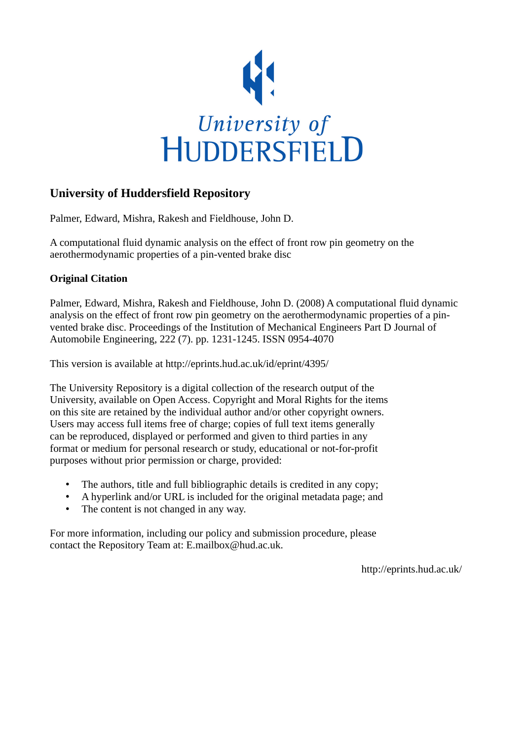

# **University of Huddersfield Repository**

Palmer, Edward, Mishra, Rakesh and Fieldhouse, John D.

A computational fluid dynamic analysis on the effect of front row pin geometry on the aerothermodynamic properties of a pin-vented brake disc

# **Original Citation**

Palmer, Edward, Mishra, Rakesh and Fieldhouse, John D. (2008) A computational fluid dynamic analysis on the effect of front row pin geometry on the aerothermodynamic properties of a pinvented brake disc. Proceedings of the Institution of Mechanical Engineers Part D Journal of Automobile Engineering, 222 (7). pp. 1231-1245. ISSN 0954-4070

This version is available at http://eprints.hud.ac.uk/id/eprint/4395/

The University Repository is a digital collection of the research output of the University, available on Open Access. Copyright and Moral Rights for the items on this site are retained by the individual author and/or other copyright owners. Users may access full items free of charge; copies of full text items generally can be reproduced, displayed or performed and given to third parties in any format or medium for personal research or study, educational or not-for-profit purposes without prior permission or charge, provided:

- The authors, title and full bibliographic details is credited in any copy;
- A hyperlink and/or URL is included for the original metadata page; and
- The content is not changed in any way.

For more information, including our policy and submission procedure, please contact the Repository Team at: E.mailbox@hud.ac.uk.

http://eprints.hud.ac.uk/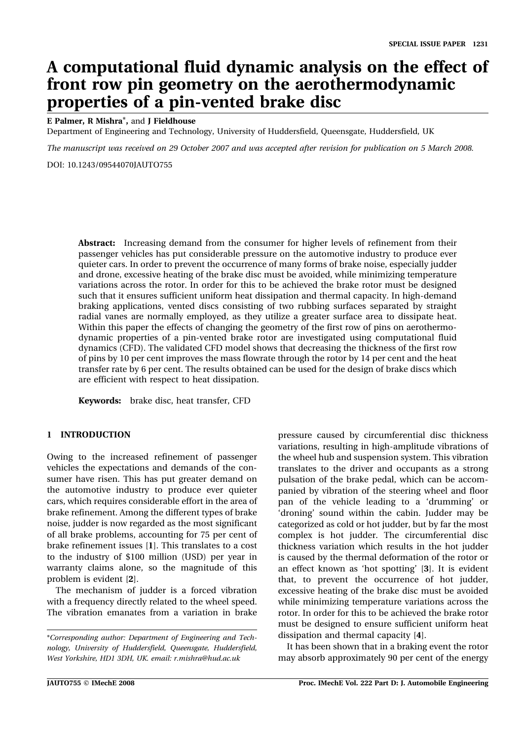# A computational fluid dynamic analysis on the effect of front row pin geometry on the aerothermodynamic properties of a pin-vented brake disc

E Palmer, R Mishra\*, and J Fieldhouse

Department of Engineering and Technology, University of Huddersfield, Queensgate, Huddersfield, UK

The manuscript was received on 29 October 2007 and was accepted after revision for publication on 5 March 2008.

DOI: 10.1243/09544070JAUTO755

Abstract: Increasing demand from the consumer for higher levels of refinement from their passenger vehicles has put considerable pressure on the automotive industry to produce ever quieter cars. In order to prevent the occurrence of many forms of brake noise, especially judder and drone, excessive heating of the brake disc must be avoided, while minimizing temperature variations across the rotor. In order for this to be achieved the brake rotor must be designed such that it ensures sufficient uniform heat dissipation and thermal capacity. In high-demand braking applications, vented discs consisting of two rubbing surfaces separated by straight radial vanes are normally employed, as they utilize a greater surface area to dissipate heat. Within this paper the effects of changing the geometry of the first row of pins on aerothermodynamic properties of a pin-vented brake rotor are investigated using computational fluid dynamics (CFD). The validated CFD model shows that decreasing the thickness of the first row of pins by 10 per cent improves the mass flowrate through the rotor by 14 per cent and the heat transfer rate by 6 per cent. The results obtained can be used for the design of brake discs which are efficient with respect to heat dissipation.

Keywords: brake disc, heat transfer, CFD

# 1 INTRODUCTION

Owing to the increased refinement of passenger vehicles the expectations and demands of the consumer have risen. This has put greater demand on the automotive industry to produce ever quieter cars, which requires considerable effort in the area of brake refinement. Among the different types of brake noise, judder is now regarded as the most significant of all brake problems, accounting for 75 per cent of brake refinement issues [1]. This translates to a cost to the industry of \$100 million (USD) per year in warranty claims alone, so the magnitude of this problem is evident [2].

The mechanism of judder is a forced vibration with a frequency directly related to the wheel speed. The vibration emanates from a variation in brake pressure caused by circumferential disc thickness variations, resulting in high-amplitude vibrations of the wheel hub and suspension system. This vibration translates to the driver and occupants as a strong pulsation of the brake pedal, which can be accompanied by vibration of the steering wheel and floor pan of the vehicle leading to a 'drumming' or 'droning' sound within the cabin. Judder may be categorized as cold or hot judder, but by far the most complex is hot judder. The circumferential disc thickness variation which results in the hot judder is caused by the thermal deformation of the rotor or an effect known as 'hot spotting' [3]. It is evident that, to prevent the occurrence of hot judder, excessive heating of the brake disc must be avoided while minimizing temperature variations across the rotor. In order for this to be achieved the brake rotor must be designed to ensure sufficient uniform heat dissipation and thermal capacity [4].

It has been shown that in a braking event the rotor may absorb approximately 90 per cent of the energy

<sup>\*</sup>Corresponding author: Department of Engineering and Technology, University of Huddersfield, Queensgate, Huddersfield, West Yorkshire, HD1 3DH, UK. email: r.mishra@hud.ac.uk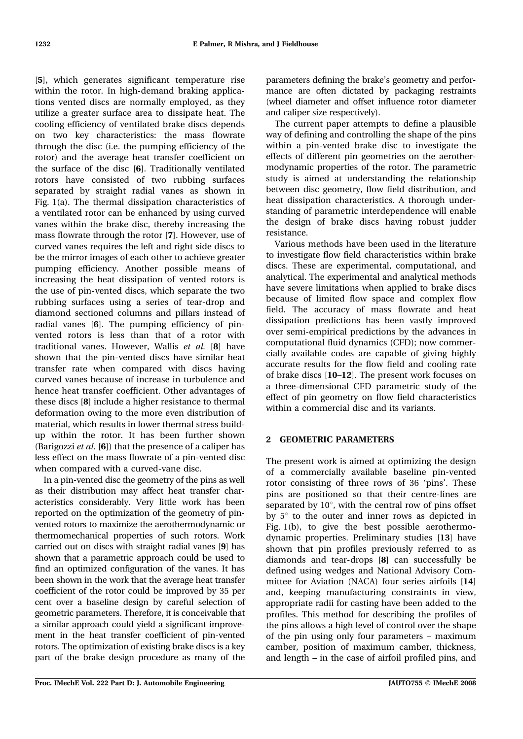[5], which generates significant temperature rise within the rotor. In high-demand braking applications vented discs are normally employed, as they utilize a greater surface area to dissipate heat. The cooling efficiency of ventilated brake discs depends on two key characteristics: the mass flowrate through the disc (i.e. the pumping efficiency of the rotor) and the average heat transfer coefficient on the surface of the disc [6]. Traditionally ventilated rotors have consisted of two rubbing surfaces separated by straight radial vanes as shown in Fig. 1(a). The thermal dissipation characteristics of a ventilated rotor can be enhanced by using curved vanes within the brake disc, thereby increasing the mass flowrate through the rotor [7]. However, use of curved vanes requires the left and right side discs to be the mirror images of each other to achieve greater pumping efficiency. Another possible means of increasing the heat dissipation of vented rotors is the use of pin-vented discs, which separate the two rubbing surfaces using a series of tear-drop and diamond sectioned columns and pillars instead of radial vanes [6]. The pumping efficiency of pinvented rotors is less than that of a rotor with traditional vanes. However, Wallis et al. [8] have shown that the pin-vented discs have similar heat transfer rate when compared with discs having curved vanes because of increase in turbulence and hence heat transfer coefficient. Other advantages of these discs [8] include a higher resistance to thermal deformation owing to the more even distribution of material, which results in lower thermal stress buildup within the rotor. It has been further shown (Barigozzi *et al.*  $[6]$ ) that the presence of a caliper has less effect on the mass flowrate of a pin-vented disc when compared with a curved-vane disc.

In a pin-vented disc the geometry of the pins as well as their distribution may affect heat transfer characteristics considerably. Very little work has been reported on the optimization of the geometry of pinvented rotors to maximize the aerothermodynamic or thermomechanical properties of such rotors. Work carried out on discs with straight radial vanes [9] has shown that a parametric approach could be used to find an optimized configuration of the vanes. It has been shown in the work that the average heat transfer coefficient of the rotor could be improved by 35 per cent over a baseline design by careful selection of geometric parameters. Therefore, it is conceivable that a similar approach could yield a significant improvement in the heat transfer coefficient of pin-vented rotors. The optimization of existing brake discs is a key part of the brake design procedure as many of the parameters defining the brake's geometry and performance are often dictated by packaging restraints (wheel diameter and offset influence rotor diameter and caliper size respectively).

The current paper attempts to define a plausible way of defining and controlling the shape of the pins within a pin-vented brake disc to investigate the effects of different pin geometries on the aerothermodynamic properties of the rotor. The parametric study is aimed at understanding the relationship between disc geometry, flow field distribution, and heat dissipation characteristics. A thorough understanding of parametric interdependence will enable the design of brake discs having robust judder resistance.

Various methods have been used in the literature to investigate flow field characteristics within brake discs. These are experimental, computational, and analytical. The experimental and analytical methods have severe limitations when applied to brake discs because of limited flow space and complex flow field. The accuracy of mass flowrate and heat dissipation predictions has been vastly improved over semi-empirical predictions by the advances in computational fluid dynamics (CFD); now commercially available codes are capable of giving highly accurate results for the flow field and cooling rate of brake discs [10–12]. The present work focuses on a three-dimensional CFD parametric study of the effect of pin geometry on flow field characteristics within a commercial disc and its variants.

# 2 GEOMETRIC PARAMETERS

The present work is aimed at optimizing the design of a commercially available baseline pin-vented rotor consisting of three rows of 36 'pins'. These pins are positioned so that their centre-lines are separated by  $10^{\circ}$ , with the central row of pins offset by  $5^\circ$  to the outer and inner rows as depicted in Fig. 1(b), to give the best possible aerothermodynamic properties. Preliminary studies [13] have shown that pin profiles previously referred to as diamonds and tear-drops [8] can successfully be defined using wedges and National Advisory Committee for Aviation (NACA) four series airfoils [14] and, keeping manufacturing constraints in view, appropriate radii for casting have been added to the profiles. This method for describing the profiles of the pins allows a high level of control over the shape of the pin using only four parameters – maximum camber, position of maximum camber, thickness, and length – in the case of airfoil profiled pins, and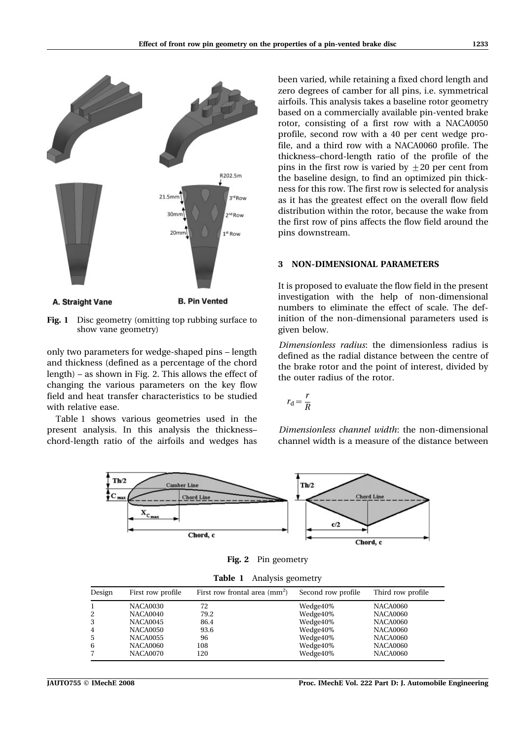

Fig. 1 Disc geometry (omitting top rubbing surface to show vane geometry)

only two parameters for wedge-shaped pins – length and thickness (defined as a percentage of the chord length) – as shown in Fig. 2. This allows the effect of changing the various parameters on the key flow field and heat transfer characteristics to be studied with relative ease.

Table 1 shows various geometries used in the present analysis. In this analysis the thickness– chord-length ratio of the airfoils and wedges has been varied, while retaining a fixed chord length and zero degrees of camber for all pins, i.e. symmetrical airfoils. This analysis takes a baseline rotor geometry based on a commercially available pin-vented brake rotor, consisting of a first row with a NACA0050 profile, second row with a 40 per cent wedge profile, and a third row with a NACA0060 profile. The thickness–chord-length ratio of the profile of the pins in the first row is varied by  $\pm 20$  per cent from the baseline design, to find an optimized pin thickness for this row. The first row is selected for analysis as it has the greatest effect on the overall flow field distribution within the rotor, because the wake from the first row of pins affects the flow field around the pins downstream.

#### 3 NON-DIMENSIONAL PARAMETERS

It is proposed to evaluate the flow field in the present investigation with the help of non-dimensional numbers to eliminate the effect of scale. The definition of the non-dimensional parameters used is given below.

Dimensionless radius: the dimensionless radius is defined as the radial distance between the centre of the brake rotor and the point of interest, divided by the outer radius of the rotor.

$$
r_{\rm d} = \frac{r}{R}
$$

Dimensionless channel width: the non-dimensional channel width is a measure of the distance between



Fig. 2 Pin geometry

Table 1 Analysis geometry

| Design         | First row profile | First row frontal area $\text{(mm}^2)$ | Second row profile | Third row profile |
|----------------|-------------------|----------------------------------------|--------------------|-------------------|
|                | NACA0030          | 72                                     | Wedge40%           | <b>NACA0060</b>   |
| 2              | NACA0040          | 79.2                                   | Wedge40%           | <b>NACA0060</b>   |
| 3              | NACA0045          | 86.4                                   | Wedge40%           | <b>NACA0060</b>   |
| $\overline{4}$ | <b>NACA0050</b>   | 93.6                                   | Wedge40%           | <b>NACA0060</b>   |
| .5             | <b>NACA0055</b>   | 96                                     | Wedge40%           | <b>NACA0060</b>   |
| 6              | <b>NACA0060</b>   | 108                                    | Wedge40%           | <b>NACA0060</b>   |
|                | <b>NACA0070</b>   | 120                                    | Wedge40%           | <b>NACA0060</b>   |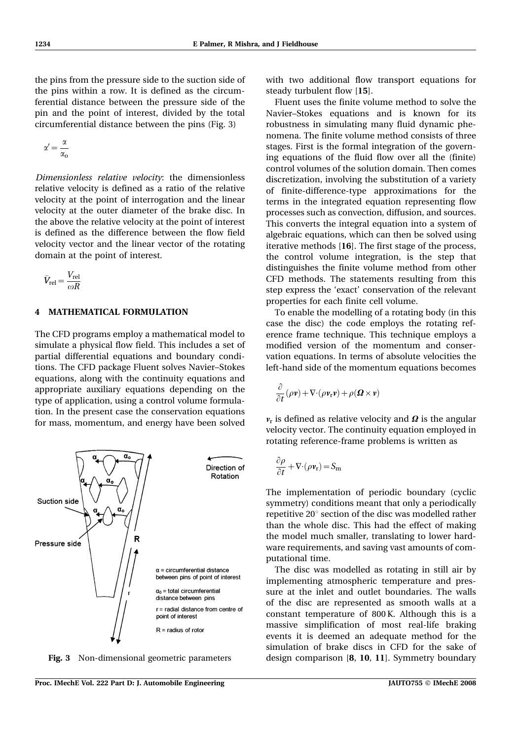the pins from the pressure side to the suction side of the pins within a row. It is defined as the circumferential distance between the pressure side of the pin and the point of interest, divided by the total circumferential distance between the pins (Fig. 3)

$$
\alpha'=\frac{\alpha}{\alpha_o}
$$

Dimensionless relative velocity: the dimensionless relative velocity is defined as a ratio of the relative velocity at the point of interrogation and the linear velocity at the outer diameter of the brake disc. In the above the relative velocity at the point of interest is defined as the difference between the flow field velocity vector and the linear vector of the rotating domain at the point of interest.

$$
\bar{V}_{\rm rel} = \frac{V_{\rm rel}}{\omega R}
$$

## 4 MATHEMATICAL FORMULATION

The CFD programs employ a mathematical model to simulate a physical flow field. This includes a set of partial differential equations and boundary conditions. The CFD package Fluent solves Navier–Stokes equations, along with the continuity equations and appropriate auxiliary equations depending on the type of application, using a control volume formulation. In the present case the conservation equations for mass, momentum, and energy have been solved



with two additional flow transport equations for steady turbulent flow [15].

Fluent uses the finite volume method to solve the Navier–Stokes equations and is known for its robustness in simulating many fluid dynamic phenomena. The finite volume method consists of three stages. First is the formal integration of the governing equations of the fluid flow over all the (finite) control volumes of the solution domain. Then comes discretization, involving the substitution of a variety of finite-difference-type approximations for the terms in the integrated equation representing flow processes such as convection, diffusion, and sources. This converts the integral equation into a system of algebraic equations, which can then be solved using iterative methods [16]. The first stage of the process, the control volume integration, is the step that distinguishes the finite volume method from other CFD methods. The statements resulting from this step express the 'exact' conservation of the relevant properties for each finite cell volume.

To enable the modelling of a rotating body (in this case the disc) the code employs the rotating reference frame technique. This technique employs a modified version of the momentum and conservation equations. In terms of absolute velocities the left-hand side of the momentum equations becomes

$$
\frac{\partial}{\partial t}(\rho \mathbf{v}) + \nabla \cdot (\rho \mathbf{v}_{\mathbf{r}} \mathbf{v}) + \rho (\mathbf{\Omega} \times \mathbf{v})
$$

 $v_r$  is defined as relative velocity and  $\Omega$  is the angular velocity vector. The continuity equation employed in rotating reference-frame problems is written as

$$
\frac{\partial \rho}{\partial t} + \nabla \!\cdot\! (\rho \textbf{v}_r)\!=\!S_m
$$

The implementation of periodic boundary (cyclic symmetry) conditions meant that only a periodically repetitive  $20^\circ$  section of the disc was modelled rather than the whole disc. This had the effect of making the model much smaller, translating to lower hardware requirements, and saving vast amounts of computational time.

The disc was modelled as rotating in still air by implementing atmospheric temperature and pressure at the inlet and outlet boundaries. The walls of the disc are represented as smooth walls at a constant temperature of 800 K. Although this is a massive simplification of most real-life braking events it is deemed an adequate method for the simulation of brake discs in CFD for the sake of Fig. 3 Non-dimensional geometric parameters design comparison [8, 10, 11]. Symmetry boundary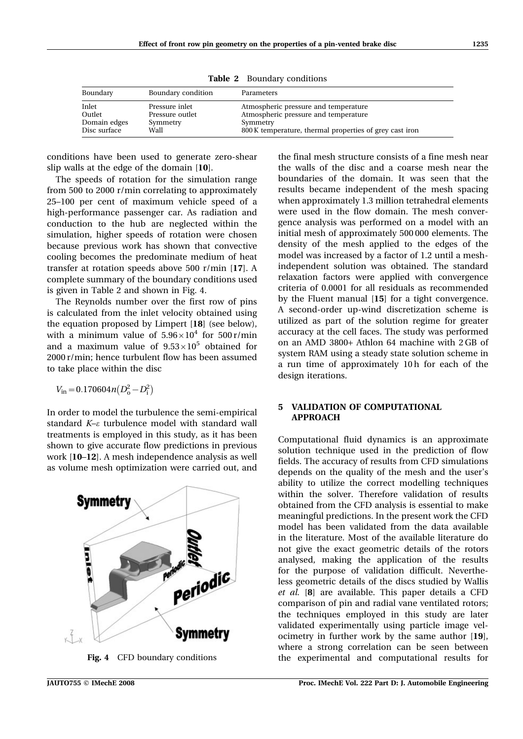| Boundary     | Boundary condition | <b>Parameters</b>                                       |
|--------------|--------------------|---------------------------------------------------------|
| Inlet        | Pressure inlet     | Atmospheric pressure and temperature                    |
| Outlet       | Pressure outlet    | Atmospheric pressure and temperature                    |
| Domain edges | Symmetry           | Symmetry                                                |
| Disc surface | Wall               | 800 K temperature, thermal properties of grey cast iron |

Table 2 Boundary conditions

conditions have been used to generate zero-shear slip walls at the edge of the domain [10].

The speeds of rotation for the simulation range from 500 to 2000 r/min correlating to approximately 25–100 per cent of maximum vehicle speed of a high-performance passenger car. As radiation and conduction to the hub are neglected within the simulation, higher speeds of rotation were chosen because previous work has shown that convective cooling becomes the predominate medium of heat transfer at rotation speeds above 500 r/min [17]. A complete summary of the boundary conditions used is given in Table 2 and shown in Fig. 4.

The Reynolds number over the first row of pins is calculated from the inlet velocity obtained using the equation proposed by Limpert [18] (see below), with a minimum value of  $5.96\times10^4$  for 500 r/min and a maximum value of  $9.53 \times 10^5$  obtained for 2000 r/min; hence turbulent flow has been assumed to take place within the disc

 $V_{\text{in}} = 0.170604n \left( D_{\text{o}}^2 - D_{\text{i}}^2 \right)$  $(D^2 - D^2)$ 

In order to model the turbulence the semi-empirical standard  $K$ - $\varepsilon$  turbulence model with standard wall treatments is employed in this study, as it has been shown to give accurate flow predictions in previous work [10–12]. A mesh independence analysis as well as volume mesh optimization were carried out, and



Fig. 4 CFD boundary conditions

the final mesh structure consists of a fine mesh near the walls of the disc and a coarse mesh near the boundaries of the domain. It was seen that the results became independent of the mesh spacing when approximately 1.3 million tetrahedral elements were used in the flow domain. The mesh convergence analysis was performed on a model with an initial mesh of approximately 500 000 elements. The density of the mesh applied to the edges of the model was increased by a factor of 1.2 until a meshindependent solution was obtained. The standard relaxation factors were applied with convergence criteria of 0.0001 for all residuals as recommended by the Fluent manual [15] for a tight convergence. A second-order up-wind discretization scheme is utilized as part of the solution regime for greater accuracy at the cell faces. The study was performed on an AMD 3800*+* Athlon 64 machine with 2 GB of system RAM using a steady state solution scheme in a run time of approximately 10 h for each of the design iterations.

## 5 VALIDATION OF COMPUTATIONAL APPROACH

Computational fluid dynamics is an approximate solution technique used in the prediction of flow fields. The accuracy of results from CFD simulations depends on the quality of the mesh and the user's ability to utilize the correct modelling techniques within the solver. Therefore validation of results obtained from the CFD analysis is essential to make meaningful predictions. In the present work the CFD model has been validated from the data available in the literature. Most of the available literature do not give the exact geometric details of the rotors analysed, making the application of the results for the purpose of validation difficult. Nevertheless geometric details of the discs studied by Wallis et al. [8] are available. This paper details a CFD comparison of pin and radial vane ventilated rotors; the techniques employed in this study are later validated experimentally using particle image velocimetry in further work by the same author [19], where a strong correlation can be seen between the experimental and computational results for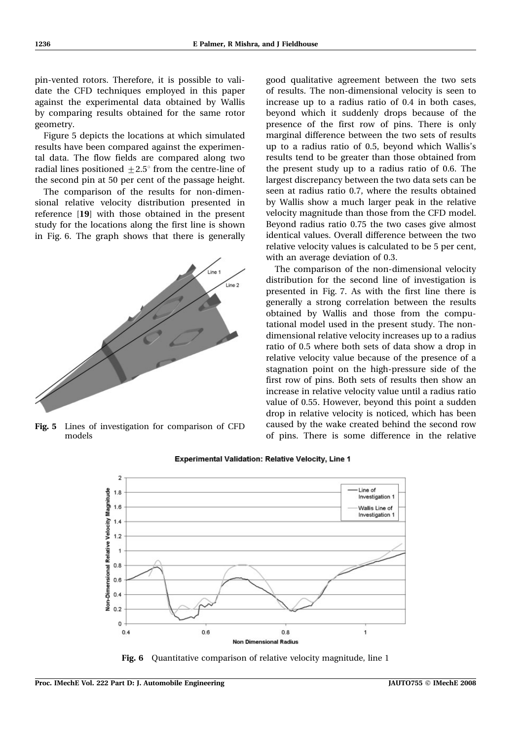pin-vented rotors. Therefore, it is possible to validate the CFD techniques employed in this paper against the experimental data obtained by Wallis by comparing results obtained for the same rotor geometry.

Figure 5 depicts the locations at which simulated results have been compared against the experimental data. The flow fields are compared along two radial lines positioned  $\pm 2.5^{\circ}$  from the centre-line of the second pin at 50 per cent of the passage height.

The comparison of the results for non-dimensional relative velocity distribution presented in reference [19] with those obtained in the present study for the locations along the first line is shown in Fig. 6. The graph shows that there is generally



Fig. 5 Lines of investigation for comparison of CFD models

good qualitative agreement between the two sets of results. The non-dimensional velocity is seen to increase up to a radius ratio of 0.4 in both cases, beyond which it suddenly drops because of the presence of the first row of pins. There is only marginal difference between the two sets of results up to a radius ratio of 0.5, beyond which Wallis's results tend to be greater than those obtained from the present study up to a radius ratio of 0.6. The largest discrepancy between the two data sets can be seen at radius ratio 0.7, where the results obtained by Wallis show a much larger peak in the relative velocity magnitude than those from the CFD model. Beyond radius ratio 0.75 the two cases give almost identical values. Overall difference between the two relative velocity values is calculated to be 5 per cent, with an average deviation of 0.3.

The comparison of the non-dimensional velocity distribution for the second line of investigation is presented in Fig. 7. As with the first line there is generally a strong correlation between the results obtained by Wallis and those from the computational model used in the present study. The nondimensional relative velocity increases up to a radius ratio of 0.5 where both sets of data show a drop in relative velocity value because of the presence of a stagnation point on the high-pressure side of the first row of pins. Both sets of results then show an increase in relative velocity value until a radius ratio value of 0.55. However, beyond this point a sudden drop in relative velocity is noticed, which has been caused by the wake created behind the second row of pins. There is some difference in the relative



**Experimental Validation: Relative Velocity, Line 1** 

Fig. 6 Quantitative comparison of relative velocity magnitude, line 1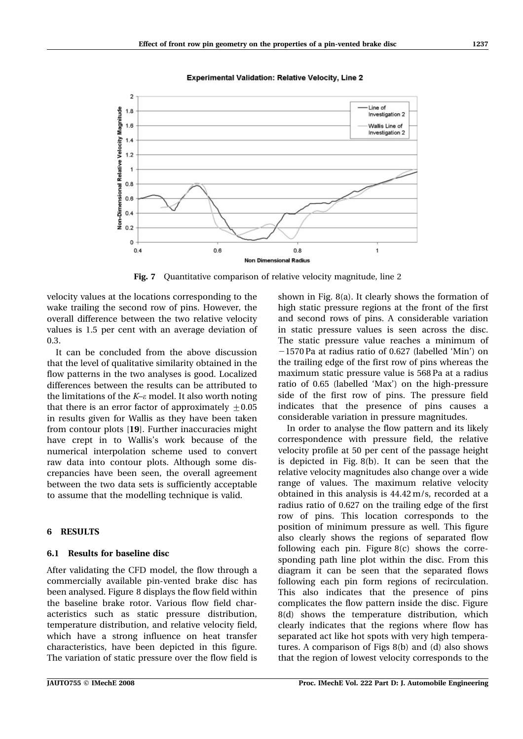

#### Experimental Validation: Relative Velocity, Line 2

Fig. 7 Quantitative comparison of relative velocity magnitude, line 2

velocity values at the locations corresponding to the wake trailing the second row of pins. However, the overall difference between the two relative velocity values is 1.5 per cent with an average deviation of 0.3.

It can be concluded from the above discussion that the level of qualitative similarity obtained in the flow patterns in the two analyses is good. Localized differences between the results can be attributed to the limitations of the  $K$ - $\varepsilon$  model. It also worth noting that there is an error factor of approximately  $\pm 0.05$ in results given for Wallis as they have been taken from contour plots [19]. Further inaccuracies might have crept in to Wallis's work because of the numerical interpolation scheme used to convert raw data into contour plots. Although some discrepancies have been seen, the overall agreement between the two data sets is sufficiently acceptable to assume that the modelling technique is valid.

# 6 RESULTS

## 6.1 Results for baseline disc

After validating the CFD model, the flow through a commercially available pin-vented brake disc has been analysed. Figure 8 displays the flow field within the baseline brake rotor. Various flow field characteristics such as static pressure distribution, temperature distribution, and relative velocity field, which have a strong influence on heat transfer characteristics, have been depicted in this figure. The variation of static pressure over the flow field is shown in Fig. 8(a). It clearly shows the formation of high static pressure regions at the front of the first and second rows of pins. A considerable variation in static pressure values is seen across the disc. The static pressure value reaches a minimum of  $-1570$  Pa at radius ratio of 0.627 (labelled 'Min') on the trailing edge of the first row of pins whereas the maximum static pressure value is 568 Pa at a radius ratio of 0.65 (labelled 'Max') on the high-pressure side of the first row of pins. The pressure field indicates that the presence of pins causes a considerable variation in pressure magnitudes.

In order to analyse the flow pattern and its likely correspondence with pressure field, the relative velocity profile at 50 per cent of the passage height is depicted in Fig. 8(b). It can be seen that the relative velocity magnitudes also change over a wide range of values. The maximum relative velocity obtained in this analysis is 44.42 m/s, recorded at a radius ratio of 0.627 on the trailing edge of the first row of pins. This location corresponds to the position of minimum pressure as well. This figure also clearly shows the regions of separated flow following each pin. Figure 8(c) shows the corresponding path line plot within the disc. From this diagram it can be seen that the separated flows following each pin form regions of recirculation. This also indicates that the presence of pins complicates the flow pattern inside the disc. Figure 8(d) shows the temperature distribution, which clearly indicates that the regions where flow has separated act like hot spots with very high temperatures. A comparison of Figs 8(b) and (d) also shows that the region of lowest velocity corresponds to the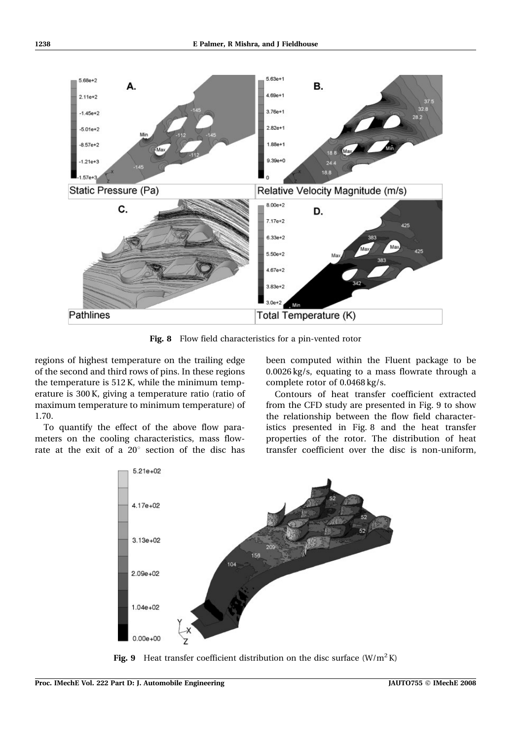

Fig. 8 Flow field characteristics for a pin-vented rotor

regions of highest temperature on the trailing edge of the second and third rows of pins. In these regions the temperature is 512 K, while the minimum temperature is 300 K, giving a temperature ratio (ratio of maximum temperature to minimum temperature) of 1.70.

To quantify the effect of the above flow parameters on the cooling characteristics, mass flowrate at the exit of a  $20^{\circ}$  section of the disc has been computed within the Fluent package to be 0.0026 kg/s, equating to a mass flowrate through a complete rotor of 0.0468 kg/s.

Contours of heat transfer coefficient extracted from the CFD study are presented in Fig. 9 to show the relationship between the flow field characteristics presented in Fig. 8 and the heat transfer properties of the rotor. The distribution of heat transfer coefficient over the disc is non-uniform,



Fig. 9 Heat transfer coefficient distribution on the disc surface  $(W/m^2 K)$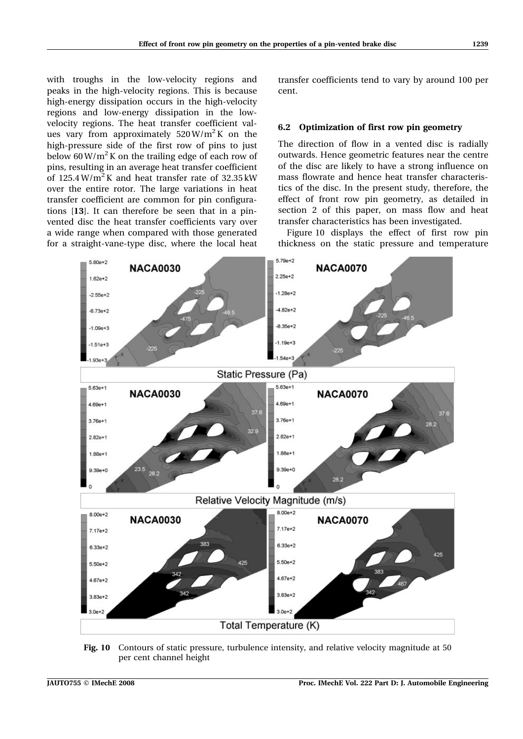with troughs in the low-velocity regions and peaks in the high-velocity regions. This is because high-energy dissipation occurs in the high-velocity regions and low-energy dissipation in the lowvelocity regions. The heat transfer coefficient values vary from approximately  $520 \,\mathrm{W/m^2 K}$  on the high-pressure side of the first row of pins to just below 60 W/m<sup>2</sup>K on the trailing edge of each row of pins, resulting in an average heat transfer coefficient of 125.4 W/m<sup>2</sup>K and heat transfer rate of 32.35 kW over the entire rotor. The large variations in heat transfer coefficient are common for pin configurations [13]. It can therefore be seen that in a pinvented disc the heat transfer coefficients vary over a wide range when compared with those generated for a straight-vane-type disc, where the local heat transfer coefficients tend to vary by around 100 per cent.

# 6.2 Optimization of first row pin geometry

The direction of flow in a vented disc is radially outwards. Hence geometric features near the centre of the disc are likely to have a strong influence on mass flowrate and hence heat transfer characteristics of the disc. In the present study, therefore, the effect of front row pin geometry, as detailed in section 2 of this paper, on mass flow and heat transfer characteristics has been investigated.

Figure 10 displays the effect of first row pin thickness on the static pressure and temperature



Fig. 10 Contours of static pressure, turbulence intensity, and relative velocity magnitude at 50 per cent channel height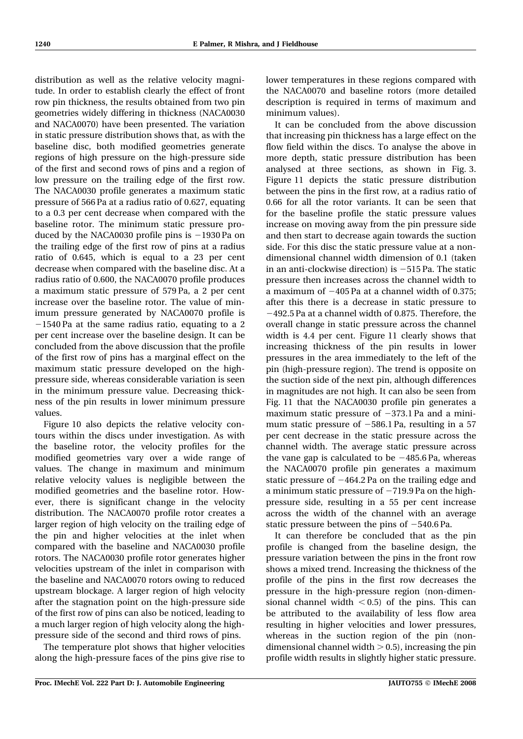distribution as well as the relative velocity magnitude. In order to establish clearly the effect of front row pin thickness, the results obtained from two pin geometries widely differing in thickness (NACA0030 and NACA0070) have been presented. The variation in static pressure distribution shows that, as with the baseline disc, both modified geometries generate regions of high pressure on the high-pressure side of the first and second rows of pins and a region of low pressure on the trailing edge of the first row. The NACA0030 profile generates a maximum static pressure of 566 Pa at a radius ratio of 0.627, equating to a 0.3 per cent decrease when compared with the baseline rotor. The minimum static pressure produced by the NACA0030 profile pins is  $-1930$  Pa on the trailing edge of the first row of pins at a radius ratio of 0.645, which is equal to a 23 per cent decrease when compared with the baseline disc. At a radius ratio of 0.600, the NACA0070 profile produces a maximum static pressure of 579 Pa, a 2 per cent increase over the baseline rotor. The value of minimum pressure generated by NACA0070 profile is  $-1540$  Pa at the same radius ratio, equating to a 2 per cent increase over the baseline design. It can be concluded from the above discussion that the profile of the first row of pins has a marginal effect on the maximum static pressure developed on the highpressure side, whereas considerable variation is seen in the minimum pressure value. Decreasing thickness of the pin results in lower minimum pressure values.

Figure 10 also depicts the relative velocity contours within the discs under investigation. As with the baseline rotor, the velocity profiles for the modified geometries vary over a wide range of values. The change in maximum and minimum relative velocity values is negligible between the modified geometries and the baseline rotor. However, there is significant change in the velocity distribution. The NACA0070 profile rotor creates a larger region of high velocity on the trailing edge of the pin and higher velocities at the inlet when compared with the baseline and NACA0030 profile rotors. The NACA0030 profile rotor generates higher velocities upstream of the inlet in comparison with the baseline and NACA0070 rotors owing to reduced upstream blockage. A larger region of high velocity after the stagnation point on the high-pressure side of the first row of pins can also be noticed, leading to a much larger region of high velocity along the highpressure side of the second and third rows of pins.

The temperature plot shows that higher velocities along the high-pressure faces of the pins give rise to lower temperatures in these regions compared with the NACA0070 and baseline rotors (more detailed description is required in terms of maximum and minimum values).

It can be concluded from the above discussion that increasing pin thickness has a large effect on the flow field within the discs. To analyse the above in more depth, static pressure distribution has been analysed at three sections, as shown in Fig. 3. Figure 11 depicts the static pressure distribution between the pins in the first row, at a radius ratio of 0.66 for all the rotor variants. It can be seen that for the baseline profile the static pressure values increase on moving away from the pin pressure side and then start to decrease again towards the suction side. For this disc the static pressure value at a nondimensional channel width dimension of 0.1 (taken in an anti-clockwise direction) is  $-515$  Pa. The static pressure then increases across the channel width to a maximum of  $-405$  Pa at a channel width of 0.375; after this there is a decrease in static pressure to  $-492.5$  Pa at a channel width of 0.875. Therefore, the overall change in static pressure across the channel width is 4.4 per cent. Figure 11 clearly shows that increasing thickness of the pin results in lower pressures in the area immediately to the left of the pin (high-pressure region). The trend is opposite on the suction side of the next pin, although differences in magnitudes are not high. It can also be seen from Fig. 11 that the NACA0030 profile pin generates a maximum static pressure of  $-373.1$  Pa and a minimum static pressure of  $-586.1$  Pa, resulting in a 57 per cent decrease in the static pressure across the channel width. The average static pressure across the vane gap is calculated to be  $-485.6$  Pa, whereas the NACA0070 profile pin generates a maximum static pressure of  $-464.2$  Pa on the trailing edge and a minimum static pressure of  $-719.9$  Pa on the highpressure side, resulting in a 55 per cent increase across the width of the channel with an average static pressure between the pins of  $-540.6$  Pa.

It can therefore be concluded that as the pin profile is changed from the baseline design, the pressure variation between the pins in the front row shows a mixed trend. Increasing the thickness of the profile of the pins in the first row decreases the pressure in the high-pressure region (non-dimensional channel width  $< 0.5$ ) of the pins. This can be attributed to the availability of less flow area resulting in higher velocities and lower pressures, whereas in the suction region of the pin (nondimensional channel width  $> 0.5$ ), increasing the pin profile width results in slightly higher static pressure.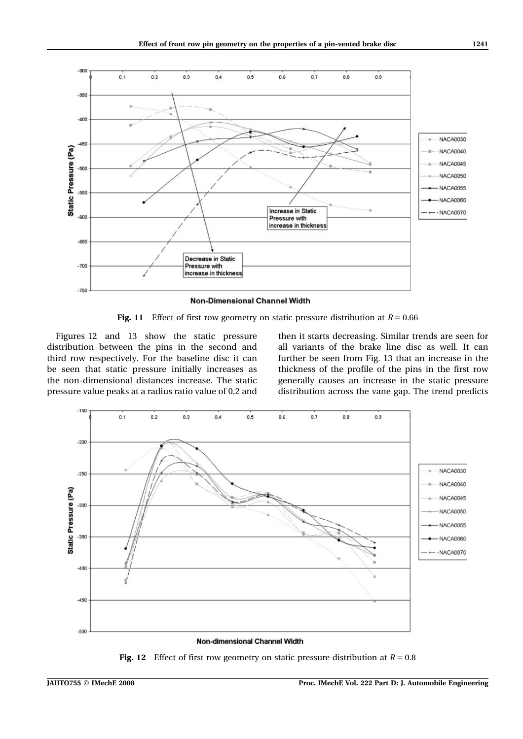

**Non-Dimensional Channel Width** 

Fig. 11 Effect of first row geometry on static pressure distribution at  $R = 0.66$ 

Figures 12 and 13 show the static pressure distribution between the pins in the second and third row respectively. For the baseline disc it can be seen that static pressure initially increases as the non-dimensional distances increase. The static pressure value peaks at a radius ratio value of 0.2 and

then it starts decreasing. Similar trends are seen for all variants of the brake line disc as well. It can further be seen from Fig. 13 that an increase in the thickness of the profile of the pins in the first row generally causes an increase in the static pressure distribution across the vane gap. The trend predicts



#### Non-dimensional Channel Width

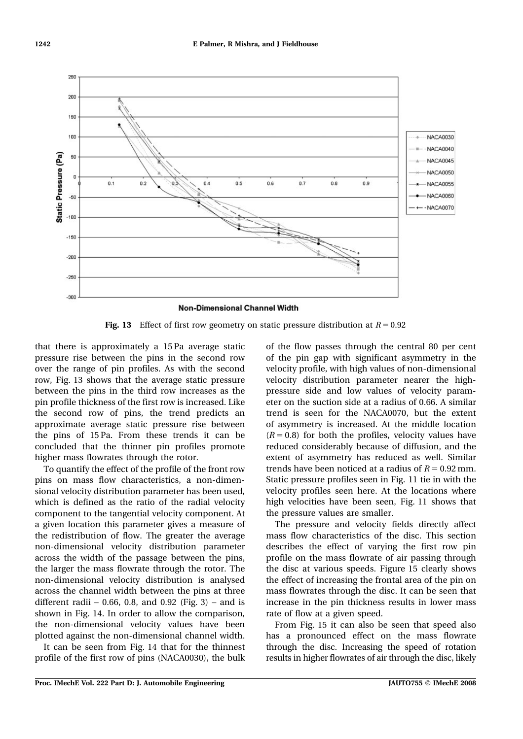

Fig. 13 Effect of first row geometry on static pressure distribution at  $R = 0.92$ 

that there is approximately a 15 Pa average static pressure rise between the pins in the second row over the range of pin profiles. As with the second row, Fig. 13 shows that the average static pressure between the pins in the third row increases as the pin profile thickness of the first row is increased. Like the second row of pins, the trend predicts an approximate average static pressure rise between the pins of 15 Pa. From these trends it can be concluded that the thinner pin profiles promote higher mass flowrates through the rotor.

To quantify the effect of the profile of the front row pins on mass flow characteristics, a non-dimensional velocity distribution parameter has been used, which is defined as the ratio of the radial velocity component to the tangential velocity component. At a given location this parameter gives a measure of the redistribution of flow. The greater the average non-dimensional velocity distribution parameter across the width of the passage between the pins, the larger the mass flowrate through the rotor. The non-dimensional velocity distribution is analysed across the channel width between the pins at three different radii – 0.66, 0.8, and 0.92 (Fig. 3) – and is shown in Fig. 14. In order to allow the comparison, the non-dimensional velocity values have been plotted against the non-dimensional channel width.

It can be seen from Fig. 14 that for the thinnest profile of the first row of pins (NACA0030), the bulk of the flow passes through the central 80 per cent of the pin gap with significant asymmetry in the velocity profile, with high values of non-dimensional velocity distribution parameter nearer the highpressure side and low values of velocity parameter on the suction side at a radius of 0.66. A similar trend is seen for the NACA0070, but the extent of asymmetry is increased. At the middle location  $(R = 0.8)$  for both the profiles, velocity values have reduced considerably because of diffusion, and the extent of asymmetry has reduced as well. Similar trends have been noticed at a radius of  $R = 0.92$  mm. Static pressure profiles seen in Fig. 11 tie in with the velocity profiles seen here. At the locations where high velocities have been seen, Fig. 11 shows that the pressure values are smaller.

The pressure and velocity fields directly affect mass flow characteristics of the disc. This section describes the effect of varying the first row pin profile on the mass flowrate of air passing through the disc at various speeds. Figure 15 clearly shows the effect of increasing the frontal area of the pin on mass flowrates through the disc. It can be seen that increase in the pin thickness results in lower mass rate of flow at a given speed.

From Fig. 15 it can also be seen that speed also has a pronounced effect on the mass flowrate through the disc. Increasing the speed of rotation results in higher flowrates of air through the disc, likely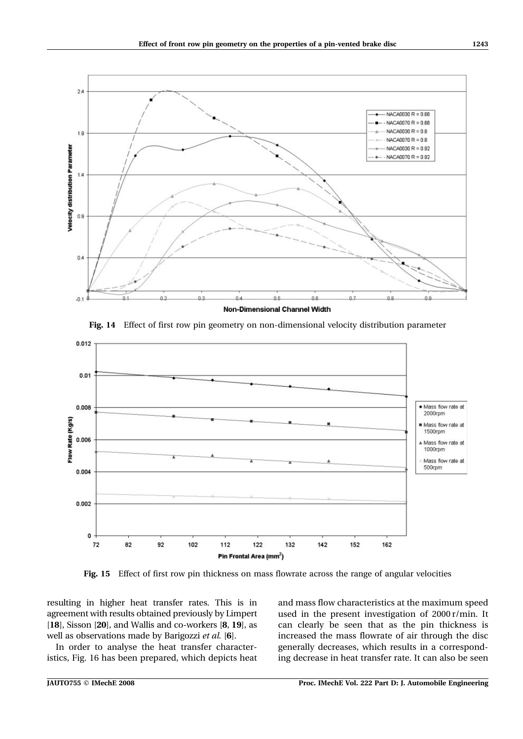

Fig. 14 Effect of first row pin geometry on non-dimensional velocity distribution parameter



Fig. 15 Effect of first row pin thickness on mass flowrate across the range of angular velocities

resulting in higher heat transfer rates. This is in agreement with results obtained previously by Limpert [18], Sisson [20], and Wallis and co-workers [8, 19], as well as observations made by Barigozzi et al. [6].

In order to analyse the heat transfer characteristics, Fig. 16 has been prepared, which depicts heat and mass flow characteristics at the maximum speed used in the present investigation of 2000 r/min. It can clearly be seen that as the pin thickness is increased the mass flowrate of air through the disc generally decreases, which results in a corresponding decrease in heat transfer rate. It can also be seen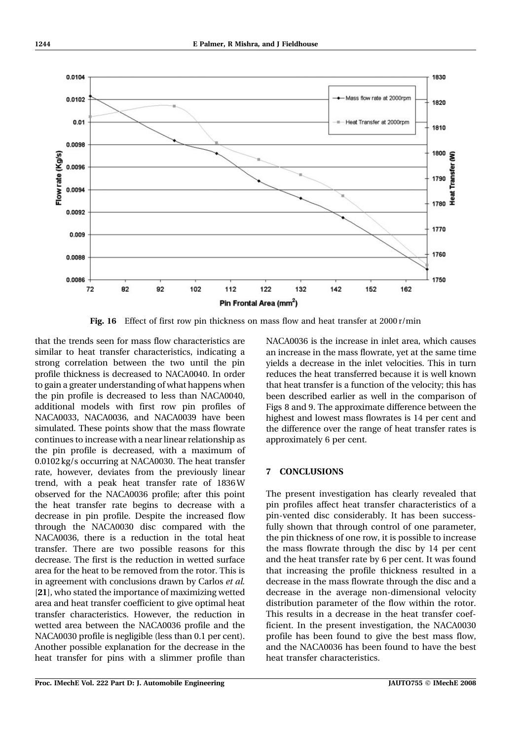

Fig. 16 Effect of first row pin thickness on mass flow and heat transfer at 2000 r/min

that the trends seen for mass flow characteristics are similar to heat transfer characteristics, indicating a strong correlation between the two until the pin profile thickness is decreased to NACA0040. In order to gain a greater understanding of what happens when the pin profile is decreased to less than NACA0040, additional models with first row pin profiles of NACA0033, NACA0036, and NACA0039 have been simulated. These points show that the mass flowrate continues to increase with a near linear relationship as the pin profile is decreased, with a maximum of 0.0102 kg/s occurring at NACA0030. The heat transfer rate, however, deviates from the previously linear trend, with a peak heat transfer rate of 1836W observed for the NACA0036 profile; after this point the heat transfer rate begins to decrease with a decrease in pin profile. Despite the increased flow through the NACA0030 disc compared with the NACA0036, there is a reduction in the total heat transfer. There are two possible reasons for this decrease. The first is the reduction in wetted surface area for the heat to be removed from the rotor. This is in agreement with conclusions drawn by Carlos et al. [21], who stated the importance of maximizing wetted area and heat transfer coefficient to give optimal heat transfer characteristics. However, the reduction in wetted area between the NACA0036 profile and the NACA0030 profile is negligible (less than 0.1 per cent). Another possible explanation for the decrease in the heat transfer for pins with a slimmer profile than

NACA0036 is the increase in inlet area, which causes an increase in the mass flowrate, yet at the same time yields a decrease in the inlet velocities. This in turn reduces the heat transferred because it is well known that heat transfer is a function of the velocity; this has been described earlier as well in the comparison of Figs 8 and 9. The approximate difference between the highest and lowest mass flowrates is 14 per cent and the difference over the range of heat transfer rates is approximately 6 per cent.

# 7 CONCLUSIONS

The present investigation has clearly revealed that pin profiles affect heat transfer characteristics of a pin-vented disc considerably. It has been successfully shown that through control of one parameter, the pin thickness of one row, it is possible to increase the mass flowrate through the disc by 14 per cent and the heat transfer rate by 6 per cent. It was found that increasing the profile thickness resulted in a decrease in the mass flowrate through the disc and a decrease in the average non-dimensional velocity distribution parameter of the flow within the rotor. This results in a decrease in the heat transfer coefficient. In the present investigation, the NACA0030 profile has been found to give the best mass flow, and the NACA0036 has been found to have the best heat transfer characteristics.